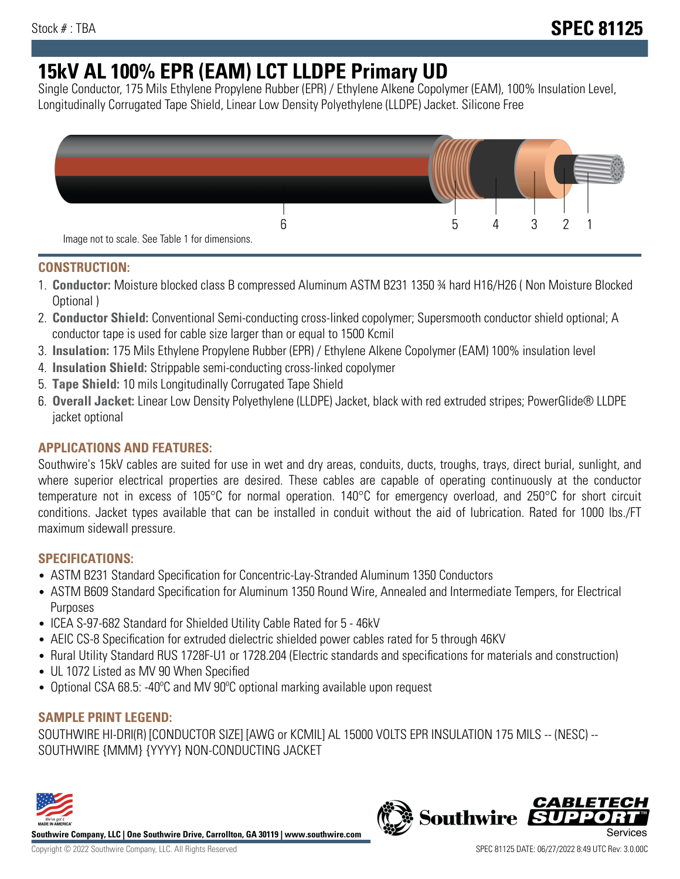# **15kV AL 100% EPR (EAM) LCT LLDPE Primary UD**

Single Conductor, 175 Mils Ethylene Propylene Rubber (EPR) / Ethylene Alkene Copolymer (EAM), 100% Insulation Level, Longitudinally Corrugated Tape Shield, Linear Low Density Polyethylene (LLDPE) Jacket. Silicone Free



### **CONSTRUCTION:**

- 1. **Conductor:** Moisture blocked class B compressed Aluminum ASTM B231 1350 ¾ hard H16/H26 ( Non Moisture Blocked Optional )
- 2. **Conductor Shield:** Conventional Semi-conducting cross-linked copolymer; Supersmooth conductor shield optional; A conductor tape is used for cable size larger than or equal to 1500 Kcmil
- 3. **Insulation:** 175 Mils Ethylene Propylene Rubber (EPR) / Ethylene Alkene Copolymer (EAM) 100% insulation level
- 4. **Insulation Shield:** Strippable semi-conducting cross-linked copolymer
- 5. **Tape Shield:** 10 mils Longitudinally Corrugated Tape Shield
- 6. **Overall Jacket:** Linear Low Density Polyethylene (LLDPE) Jacket, black with red extruded stripes; PowerGlide® LLDPE jacket optional

## **APPLICATIONS AND FEATURES:**

Southwire's 15kV cables are suited for use in wet and dry areas, conduits, ducts, troughs, trays, direct burial, sunlight, and where superior electrical properties are desired. These cables are capable of operating continuously at the conductor temperature not in excess of 105°C for normal operation. 140°C for emergency overload, and 250°C for short circuit conditions. Jacket types available that can be installed in conduit without the aid of lubrication. Rated for 1000 lbs./FT maximum sidewall pressure.

#### **SPECIFICATIONS:**

- ASTM B231 Standard Specification for Concentric-Lay-Stranded Aluminum 1350 Conductors
- ASTM B609 Standard Specification for Aluminum 1350 Round Wire, Annealed and Intermediate Tempers, for Electrical Purposes
- ICEA S-97-682 Standard for Shielded Utility Cable Rated for 5 46kV
- AEIC CS-8 Specification for extruded dielectric shielded power cables rated for 5 through 46KV
- Rural Utility Standard RUS 1728F-U1 or 1728.204 (Electric standards and specifications for materials and construction)
- UL 1072 Listed as MV 90 When Specified
- Optional CSA 68.5: -40ºC and MV 90ºC optional marking available upon request

#### **SAMPLE PRINT LEGEND:**

SOUTHWIRE HI-DRI(R) [CONDUCTOR SIZE] [AWG or KCMIL] AL 15000 VOLTS EPR INSULATION 175 MILS -- (NESC) -- SOUTHWIRE {MMM} {YYYY} NON-CONDUCTING JACKET



**Southwire Company, LLC | One Southwire Drive, Carrollton, GA 30119 | www.southwire.com**